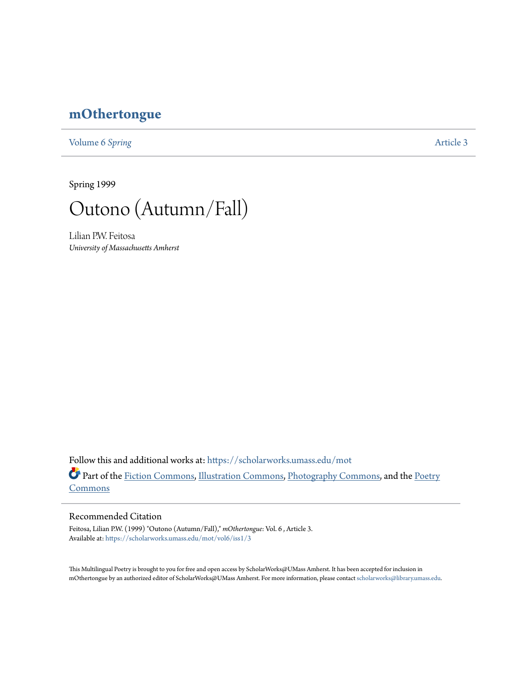## **[mOthertongue](https://scholarworks.umass.edu/mot?utm_source=scholarworks.umass.edu%2Fmot%2Fvol6%2Fiss1%2F3&utm_medium=PDF&utm_campaign=PDFCoverPages)**

[Volume 6](https://scholarworks.umass.edu/mot/vol6?utm_source=scholarworks.umass.edu%2Fmot%2Fvol6%2Fiss1%2F3&utm_medium=PDF&utm_campaign=PDFCoverPages) Spring **[Article 3](https://scholarworks.umass.edu/mot/vol6/iss1/3?utm_source=scholarworks.umass.edu%2Fmot%2Fvol6%2Fiss1%2F3&utm_medium=PDF&utm_campaign=PDFCoverPages)** 

Spring 1999



Lilian P.W. Feitosa *University of Massachusetts Amherst*

Follow this and additional works at: [https://scholarworks.umass.edu/mot](https://scholarworks.umass.edu/mot?utm_source=scholarworks.umass.edu%2Fmot%2Fvol6%2Fiss1%2F3&utm_medium=PDF&utm_campaign=PDFCoverPages) Part of the [Fiction Commons](http://network.bepress.com/hgg/discipline/1151?utm_source=scholarworks.umass.edu%2Fmot%2Fvol6%2Fiss1%2F3&utm_medium=PDF&utm_campaign=PDFCoverPages), [Illustration Commons,](http://network.bepress.com/hgg/discipline/1135?utm_source=scholarworks.umass.edu%2Fmot%2Fvol6%2Fiss1%2F3&utm_medium=PDF&utm_campaign=PDFCoverPages) [Photography Commons,](http://network.bepress.com/hgg/discipline/1142?utm_source=scholarworks.umass.edu%2Fmot%2Fvol6%2Fiss1%2F3&utm_medium=PDF&utm_campaign=PDFCoverPages) and the [Poetry](http://network.bepress.com/hgg/discipline/1153?utm_source=scholarworks.umass.edu%2Fmot%2Fvol6%2Fiss1%2F3&utm_medium=PDF&utm_campaign=PDFCoverPages) **[Commons](http://network.bepress.com/hgg/discipline/1153?utm_source=scholarworks.umass.edu%2Fmot%2Fvol6%2Fiss1%2F3&utm_medium=PDF&utm_campaign=PDFCoverPages)** 

## Recommended Citation

Feitosa, Lilian P.W. (1999) "Outono (Autumn/Fall)," *mOthertongue*: Vol. 6 , Article 3. Available at: [https://scholarworks.umass.edu/mot/vol6/iss1/3](https://scholarworks.umass.edu/mot/vol6/iss1/3?utm_source=scholarworks.umass.edu%2Fmot%2Fvol6%2Fiss1%2F3&utm_medium=PDF&utm_campaign=PDFCoverPages)

This Multilingual Poetry is brought to you for free and open access by ScholarWorks@UMass Amherst. It has been accepted for inclusion in mOthertongue by an authorized editor of ScholarWorks@UMass Amherst. For more information, please contact [scholarworks@library.umass.edu](mailto:scholarworks@library.umass.edu).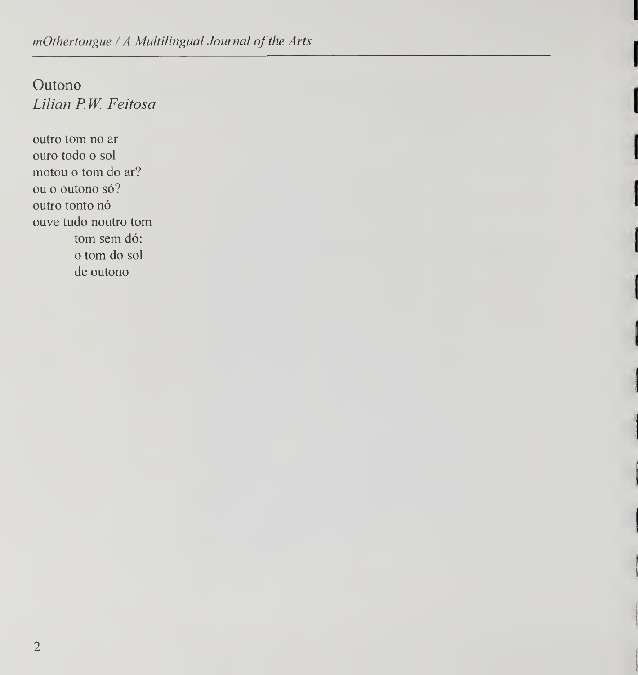Outono Lilian P.W. Feitosa

outro tom no ar ouro todo o sol motou o tom do ar? ou o outono só? outro tonto nó ouve tudo noutro tom tom sem dó: o torn do sol de outono